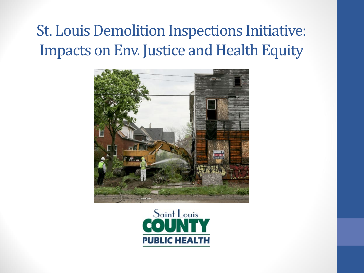#### **St. Louis Demolition Inspections Initiative:** Impacts on Env. Justice and Health Equity



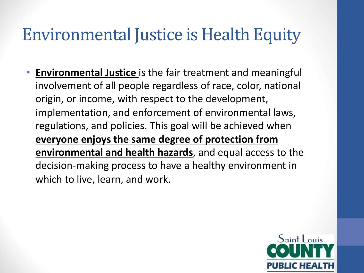#### Environmental Justice is Health Equity

• **Environmental Justice** is the fair treatment and meaningful involvement of all people regardless of race, color, national origin, or income, with respect to the development, implementation, and enforcement of environmental laws, regulations, and policies. This goal will be achieved when **everyone enjoys the same degree of protection from environmental and health hazards**, and equal access to the decision-making process to have a healthy environment in which to live, learn, and work.

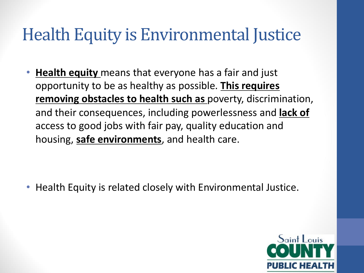### Health Equity is Environmental Justice

• **Health equity** means that everyone has a fair and just opportunity to be as healthy as possible. **This requires removing obstacles to health such as** poverty, discrimination, and their consequences, including powerlessness and **lack of**  access to good jobs with fair pay, quality education and housing, **safe environments**, and health care.

• Health Equity is related closely with Environmental Justice.

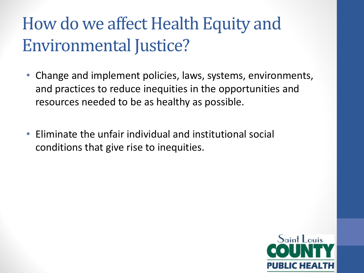### How do we affect Health Equity and Environmental Justice?

- Change and implement policies, laws, systems, environments, and practices to reduce inequities in the opportunities and resources needed to be as healthy as possible.
- Eliminate the unfair individual and institutional social conditions that give rise to inequities.

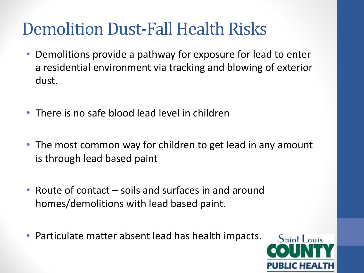### Demolition Dust-Fall Health Risks

- Demolitions provide a pathway for exposure for lead to enter a residential environment via tracking and blowing of exterior dust.
- There is no safe blood lead level in children
- The most common way for children to get lead in any amount is through lead based paint
- Route of contact soils and surfaces in and around homes/demolitions with lead based paint.
- Particulate matter absent lead has health impacts.

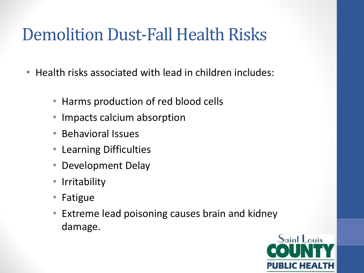### Demolition Dust-Fall Health Risks

- Health risks associated with lead in children includes:
	- Harms production of red blood cells
	- Impacts calcium absorption
	- Behavioral Issues
	- Learning Difficulties
	- Development Delay
	- Irritability
	- Fatigue
	- Extreme lead poisoning causes brain and kidney damage.

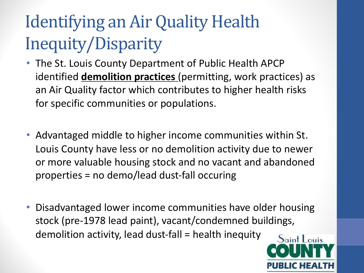# Identifying an Air Quality Health Inequity/Disparity

- The St. Louis County Department of Public Health APCP identified **demolition practices** (permitting, work practices) as an Air Quality factor which contributes to higher health risks for specific communities or populations.
- Advantaged middle to higher income communities within St. Louis County have less or no demolition activity due to newer or more valuable housing stock and no vacant and abandoned properties = no demo/lead dust-fall occuring
- Disadvantaged lower income communities have older housing stock (pre-1978 lead paint), vacant/condemned buildings, demolition activity, lead dust-fall = health inequity

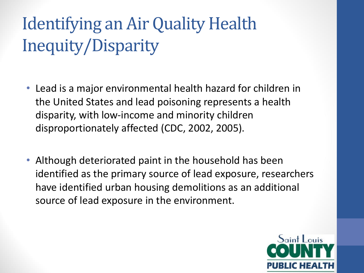# Identifying an Air Quality Health Inequity/Disparity

- Lead is a major environmental health hazard for children in the United States and lead poisoning represents a health disparity, with low-income and minority children disproportionately affected (CDC, 2002, 2005).
- Although deteriorated paint in the household has been identified as the primary source of lead exposure, researchers have identified urban housing demolitions as an additional source of lead exposure in the environment.

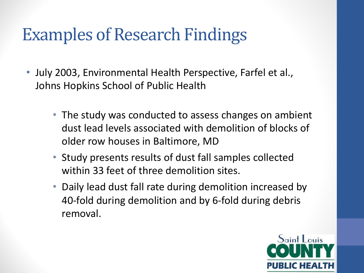### Examples of Research Findings

- July 2003, Environmental Health Perspective, Farfel et al., Johns Hopkins School of Public Health
	- The study was conducted to assess changes on ambient dust lead levels associated with demolition of blocks of older row houses in Baltimore, MD
	- Study presents results of dust fall samples collected within 33 feet of three demolition sites.
	- Daily lead dust fall rate during demolition increased by 40-fold during demolition and by 6-fold during debris removal.

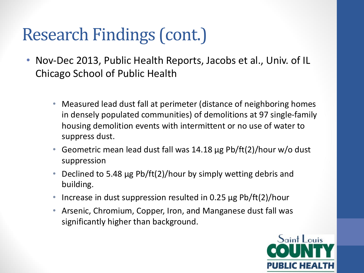### Research Findings (cont.)

- Nov-Dec 2013, Public Health Reports, Jacobs et al., Univ. of IL Chicago School of Public Health
	- Measured lead dust fall at perimeter (distance of neighboring homes in densely populated communities) of demolitions at 97 single-family housing demolition events with intermittent or no use of water to suppress dust.
	- Geometric mean lead dust fall was 14.18 µg Pb/ft(2)/hour w/o dust suppression
	- Declined to 5.48  $\mu$ g Pb/ft(2)/hour by simply wetting debris and building.
	- Increase in dust suppression resulted in 0.25  $\mu$ g Pb/ft(2)/hour
	- Arsenic, Chromium, Copper, Iron, and Manganese dust fall was significantly higher than background.

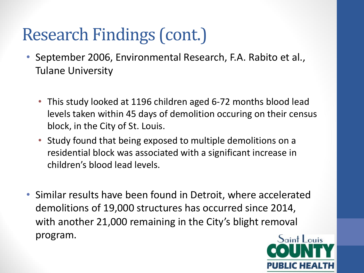### Research Findings (cont.)

- September 2006, Environmental Research, F.A. Rabito et al., Tulane University
	- This study looked at 1196 children aged 6-72 months blood lead levels taken within 45 days of demolition occuring on their census block, in the City of St. Louis.
	- Study found that being exposed to multiple demolitions on a residential block was associated with a significant increase in children's blood lead levels.
- Similar results have been found in Detroit, where accelerated demolitions of 19,000 structures has occurred since 2014, with another 21,000 remaining in the City's blight removal program.

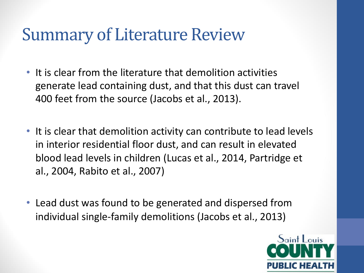#### **Summary of Literature Review**

- It is clear from the literature that demolition activities generate lead containing dust, and that this dust can travel 400 feet from the source (Jacobs et al., 2013).
- It is clear that demolition activity can contribute to lead levels in interior residential floor dust, and can result in elevated blood lead levels in children (Lucas et al., 2014, Partridge et al., 2004, Rabito et al., 2007)
- Lead dust was found to be generated and dispersed from individual single-family demolitions (Jacobs et al., 2013)

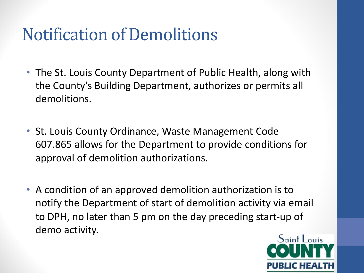### **Notification of Demolitions**

- The St. Louis County Department of Public Health, along with the County's Building Department, authorizes or permits all demolitions.
- St. Louis County Ordinance, Waste Management Code 607.865 allows for the Department to provide conditions for approval of demolition authorizations.
- A condition of an approved demolition authorization is to notify the Department of start of demolition activity via email to DPH, no later than 5 pm on the day preceding start-up of demo activity.

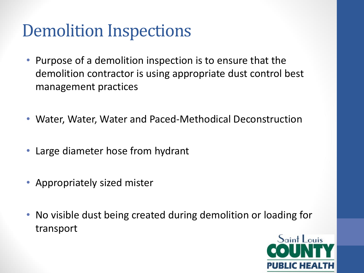### **Demolition Inspections**

- Purpose of a demolition inspection is to ensure that the demolition contractor is using appropriate dust control best management practices
- Water, Water, Water and Paced-Methodical Deconstruction
- Large diameter hose from hydrant
- Appropriately sized mister
- No visible dust being created during demolition or loading for transport

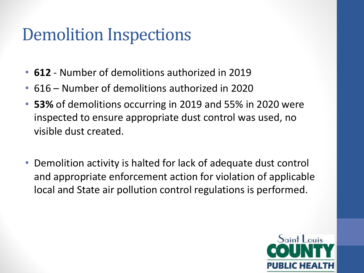### Demolition Inspections

- **612** Number of demolitions authorized in 2019
- 616 Number of demolitions authorized in 2020
- **53%** of demolitions occurring in 2019 and 55% in 2020 were inspected to ensure appropriate dust control was used, no visible dust created.
- Demolition activity is halted for lack of adequate dust control and appropriate enforcement action for violation of applicable local and State air pollution control regulations is performed.